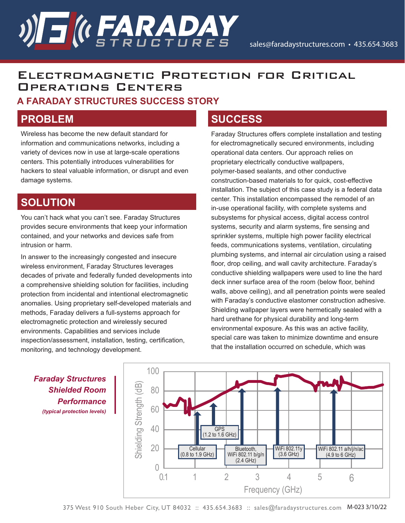### Electromagnetic Protection for Critical Operations Centers

#### **A FARADAY STRUCTURES SUCCESS STORY**

**)) S ( FARADAY** 

### **PROBLEM**

Wireless has become the new default standard for information and communications networks, including a variety of devices now in use at large-scale operations centers. This potentially introduces vulnerabilities for hackers to steal valuable information, or disrupt and even damage systems.

#### **SOLUTION**

You can't hack what you can't see. Faraday Structures provides secure environments that keep your information contained, and your networks and devices safe from intrusion or harm.

In answer to the increasingly congested and insecure wireless environment, Faraday Structures leverages decades of private and federally funded developments into a comprehensive shielding solution for facilities, including protection from incidental and intentional electromagnetic anomalies. Using proprietary self-developed materials and methods, Faraday delivers a full-systems approach for electromagnetic protection and wirelessly secured environments. Capabilities and services include inspection/assessment, installation, testing, certification, monitoring, and technology development.

#### **SUCCESS**

Faraday Structures offers complete installation and testing for electromagnetically secured environments, including operational data centers. Our approach relies on proprietary electrically conductive wallpapers, polymer-based sealants, and other conductive construction-based materials to for quick, cost-effective installation. The subject of this case study is a federal data center. This installation encompassed the remodel of an in-use operational facility, with complete systems and subsystems for physical access, digital access control systems, security and alarm systems, fire sensing and sprinkler systems, multiple high power facility electrical feeds, communications systems, ventilation, circulating plumbing systems, and internal air circulation using a raised floor, drop ceiling, and wall cavity architecture. Faraday's conductive shielding wallpapers were used to line the hard deck inner surface area of the room (below floor, behind walls, above ceiling), and all penetration points were sealed with Faraday's conductive elastomer construction adhesive. Shielding wallpaper layers were hermetically sealed with a hard urethane for physical durability and long-term environmental exposure. As this was an active facility, special care was taken to minimize downtime and ensure that the installation occurred on schedule, which was

*Faraday Structures Shielded Room Performance (typical protection levels)*